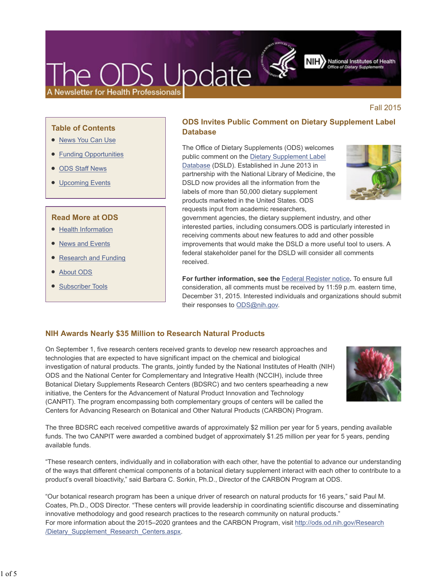# DS Update Newsletter for Health Professionals

NIH > National Institutes of Health

Fall 2015

## **Table of Contents**

- News You Can Use
- Funding Opportunities
- ODS Staff News
- Upcoming Events

## **Read More at ODS**

- Health Information
- News and Events
- Research and Funding
- About ODS
- Subscriber Tools

# **ODS Invites Public Comment on Dietary Supplement Label Database**

The Office of Dietary Supplements (ODS) welcomes public comment on the Dietary Supplement Label Database (DSLD). Established in June 2013 in partnership with the National Library of Medicine, the DSLD now provides all the information from the labels of more than 50,000 dietary supplement products marketed in the United States. ODS requests input from academic researchers,



government agencies, the dietary supplement industry, and other interested parties, including consumers.ODS is particularly interested in receiving comments about new features to add and other possible improvements that would make the DSLD a more useful tool to users. A federal stakeholder panel for the DSLD will consider all comments received.

**For further information, see the** Federal Register notice**.** To ensure full consideration, all comments must be received by 11:59 p.m. eastern time, December 31, 2015. Interested individuals and organizations should submit their responses to ODS@nih.gov.

## **NIH Awards Nearly \$35 Million to Research Natural Products**

On September 1, five research centers received grants to develop new research approaches and technologies that are expected to have significant impact on the chemical and biological investigation of natural products. The grants, jointly funded by the National Institutes of Health (NIH) ODS and the National Center for Complementary and Integrative Health (NCCIH), include three Botanical Dietary Supplements Research Centers (BDSRC) and two centers spearheading a new initiative, the Centers for the Advancement of Natural Product Innovation and Technology (CANPIT). The program encompassing both complementary groups of centers will be called the Centers for Advancing Research on Botanical and Other Natural Products (CARBON) Program.



The three BDSRC each received competitive awards of approximately \$2 million per year for 5 years, pending available funds. The two CANPIT were awarded a combined budget of approximately \$1.25 million per year for 5 years, pending available funds.

"These research centers, individually and in collaboration with each other, have the potential to advance our understanding of the ways that different chemical components of a botanical dietary supplement interact with each other to contribute to a product's overall bioactivity," said Barbara C. Sorkin, Ph.D., Director of the CARBON Program at ODS.

"Our botanical research program has been a unique driver of research on natural products for 16 years," said Paul M. Coates, Ph.D., ODS Director. "These centers will provide leadership in coordinating scientific discourse and disseminating innovative methodology and good research practices to the research community on natural products." For more information about the 2015–2020 grantees and the CARBON Program, visit http://ods.od.nih.gov/Research /Dietary\_Supplement\_Research\_Centers.aspx.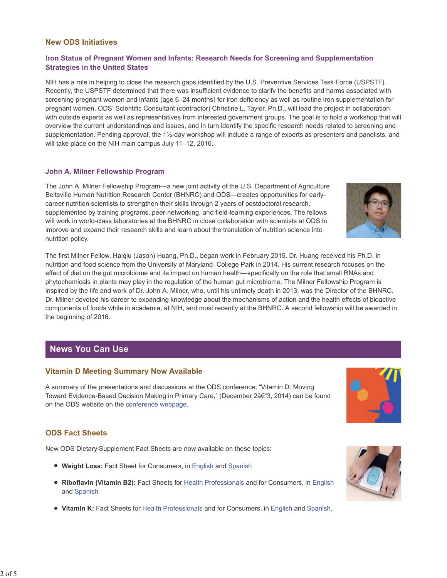## **New ODS Initiatives**

## **Iron Status of Pregnant Women and Infants: Research Needs for Screening and Supplementation Strategies in the United States**

NIH has a role in helping to close the research gaps identified by the U.S. Preventive Services Task Force (USPSTF). Recently, the USPSTF determined that there was insufficient evidence to clarify the benefits and harms associated with screening pregnant women and infants (age 6–24 months) for iron deficiency as well as routine iron supplementation for pregnant women. ODS' Scientific Consultant (contractor) Christine L. Taylor, Ph.D., will lead the project in collaboration with outside experts as well as representatives from interested government groups. The goal is to hold a workshop that will overview the current understandings and issues, and in turn identify the specific research needs related to screening and supplementation. Pending approval, the 1½-day workshop will include a range of experts as presenters and panelists, and will take place on the NIH main campus July 11–12, 2016.

#### **John A. Milner Fellowship Program**

The John A. Milner Fellowship Program—a new joint activity of the U.S. Department of Agriculture Beltsville Human Nutrition Research Center (BHNRC) and ODS—creates opportunities for earlycareer nutrition scientists to strengthen their skills through 2 years of postdoctoral research, supplemented by training programs, peer-networking, and field-learning experiences. The fellows will work in world-class laboratories at the BHNRC in close collaboration with scientists at ODS to improve and expand their research skills and learn about the translation of nutrition science into nutrition policy.

The first Milner Fellow, Haiqiu (Jason) Huang, Ph.D., began work in February 2015. Dr. Huang received his Ph.D. in nutrition and food science from the University of Maryland–College Park in 2014. His current research focuses on the effect of diet on the gut microbiome and its impact on human health—specifically on the role that small RNAs and phytochemicals in plants may play in the regulation of the human gut microbiome. The Milner Fellowship Program is inspired by the life and work of Dr. John A. Milner, who, until his untimely death in 2013, was the Director of the BHNRC. Dr. Milner devoted his career to expanding knowledge about the mechanisms of action and the health effects of bioactive components of foods while in academia, at NIH, and most recently at the BHNRC. A second fellowship will be awarded in the beginning of 2016.

## **News You Can Use**

## **Vitamin D Meeting Summary Now Available**

A summary of the presentations and discussions at the ODS conference, "Vitamin D: Moving Toward Evidence-Based Decision Making in Primary Care," (December 2â€"3, 2014) can be found on the ODS website on the conference webpage.

## **ODS Fact Sheets**

New ODS Dietary Supplement Fact Sheets are now available on these topics:

- **Weight Loss:** Fact Sheet for Consumers, in English and Spanish
- **Riboflavin (Vitamin B2):** Fact Sheets for Health Professionals and for Consumers, in English and Spanish
- **Vitamin K:** Fact Sheets for Health Professionals and for Consumers, in English and Spanish.





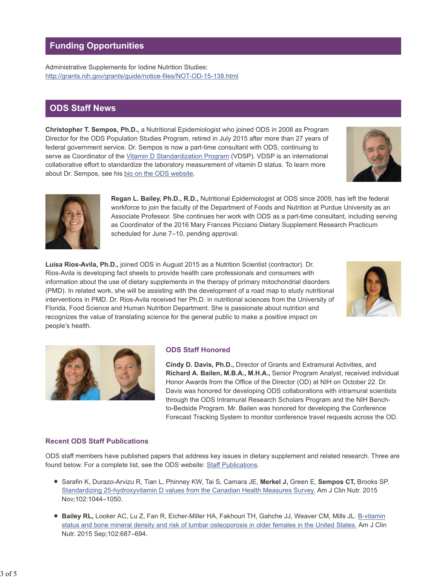# **Funding Opportunities**

Administrative Supplements for Iodine Nutrition Studies: http://grants.nih.gov/grants/guide/notice-files/NOT-OD-15-138.html

## **ODS Staff News**

**Christopher T. Sempos, Ph.D.,** a Nutritional Epidemiologist who joined ODS in 2008 as Program Director for the ODS Population Studies Program, retired in July 2015 after more than 27 years of federal government service. Dr. Sempos is now a part-time consultant with ODS, continuing to serve as Coordinator of the Vitamin D Standardization Program (VDSP). VDSP is an international collaborative effort to standardize the laboratory measurement of vitamin D status. To learn more about Dr. Sempos, see his bio on the ODS website.





**Regan L. Bailey, Ph.D., R.D.,** Nutritional Epidemiologist at ODS since 2009, has left the federal workforce to join the faculty of the Department of Foods and Nutrition at Purdue University as an Associate Professor. She continues her work with ODS as a part-time consultant, including serving as Coordinator of the 2016 Mary Frances Picciano Dietary Supplement Research Practicum scheduled for June 7–10, pending approval.

**Luisa Rios-Avila, Ph.D.,** joined ODS in August 2015 as a Nutrition Scientist (contractor). Dr. Rios-Avila is developing fact sheets to provide health care professionals and consumers with information about the use of dietary supplements in the therapy of primary mitochondrial disorders (PMD). In related work, she will be assisting with the development of a road map to study nutritional interventions in PMD. Dr. Rios-Avila received her Ph.D. in nutritional sciences from the University of Florida, Food Science and Human Nutrition Department. She is passionate about nutrition and recognizes the value of translating science for the general public to make a positive impact on people's health.





## **ODS Staff Honored**

**Cindy D. Davis, Ph.D.,** Director of Grants and Extramural Activities, and **Richard A. Bailen, M.B.A., M.H.A.,** Senior Program Analyst, received individual Honor Awards from the Office of the Director (OD) at NIH on October 22. Dr. Davis was honored for developing ODS collaborations with intramural scientists through the ODS Intramural Research Scholars Program and the NIH Benchto-Bedside Program. Mr. Bailen was honored for developing the Conference Forecast Tracking System to monitor conference travel requests across the OD.

## **Recent ODS Staff Publications**

ODS staff members have published papers that address key issues in dietary supplement and related research. Three are found below. For a complete list, see the ODS website: Staff Publications.

- Sarafin K, Durazo-Arvizu R, Tian L, Phinney KW, Tai S, Camara JE, **Merkel J,** Green E, **Sempos CT,** Brooks SP. Standardizing 25-hydroxyvitamin D values from the Canadian Health Measures Survey. Am J Clin Nutr. 2015 Nov;102:1044–1050.
- **Bailey RL,** Looker AC, Lu Z, Fan R, Eicher-Miller HA, Fakhouri TH, Gahche JJ, Weaver CM, Mills JL. B-vitamin status and bone mineral density and risk of lumbar osteoporosis in older females in the United States. Am J Clin Nutr. 2015 Sep;102:687–694.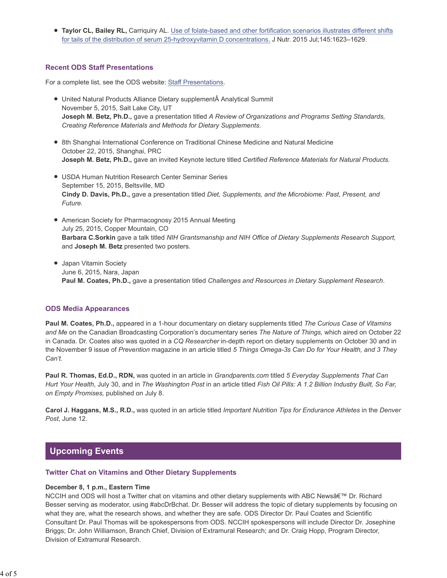**Taylor CL, Bailey RL, Carriquiry AL. Use of folate-based and other fortification scenarios illustrates different shifts** for tails of the distribution of serum 25-hydroxyvitamin D concentrations. J Nutr. 2015 Jul;145:1623–1629.

## **Recent ODS Staff Presentations**

For a complete list, see the ODS website: Staff Presentations.

- United Natural Products Alliance Dietary supplement Analytical Summit November 5, 2015, Salt Lake City, UT **Joseph M. Betz, Ph.D.,** gave a presentation titled *A Review of Organizations and Programs Setting Standards, Creating Reference Materials and Methods for Dietary Supplements.*
- 8th Shanghai International Conference on Traditional Chinese Medicine and Natural Medicine October 22, 2015, Shanghai, PRC **Joseph M. Betz, Ph.D.,** gave an invited Keynote lecture titled *Certified Reference Materials for Natural Products.*
- USDA Human Nutrition Research Center Seminar Series September 15, 2015, Beltsville, MD **Cindy D. Davis, Ph.D.,** gave a presentation titled *Diet, Supplements, and the Microbiome: Past, Present, and Future.*
- American Society for Pharmacognosy 2015 Annual Meeting July 25, 2015, Copper Mountain, CO **Barbara C.Sorkin** gave a talk titled *NIH Grantsmanship and NIH Office of Dietary Supplements Research Support,* and **Joseph M. Betz** presented two posters.
- Japan Vitamin Society June 6, 2015, Nara, Japan **Paul M. Coates, Ph.D.,** gave a presentation titled *Challenges and Resources in Dietary Supplement Research*.

## **ODS Media Appearances**

**Paul M. Coates, Ph.D.,** appeared in a 1-hour documentary on dietary supplements titled *The Curious Case of Vitamins and Me* on the Canadian Broadcasting Corporation's documentary series *The Nature of Things,* which aired on October 22 in Canada. Dr. Coates also was quoted in a *CQ Researcher* in-depth report on dietary supplements on October 30 and in the November 9 issue of *Prevention* magazine in an article titled *5 Things Omega-3s Can Do for Your Health, and 3 They Can't.*

**Paul R. Thomas, Ed.D., RDN,** was quoted in an article in *Grandparents.com* titled *5 Everyday Supplements That Can Hurt Your Health*, July 30, and in *The Washington Post* in an article titled *Fish Oil Pills: A 1.2 Billion Industry Built, So Far, on Empty Promises,* published on July 8.

**Carol J. Haggans, M.S., R.D.,** was quoted in an article titled *Important Nutrition Tips for Endurance Athletes* in the *Denver Post*, June 12.

# **Upcoming Events**

#### **Twitter Chat on Vitamins and Other Dietary Supplements**

#### **December 8, 1 p.m., Eastern Time**

NCCIH and ODS will host a Twitter chat on vitamins and other dietary supplements with ABC News' Dr. Richard Besser serving as moderator, using #abcDrBchat. Dr. Besser will address the topic of dietary supplements by focusing on what they are, what the research shows, and whether they are safe. ODS Director Dr. Paul Coates and Scientific Consultant Dr. Paul Thomas will be spokespersons from ODS. NCCIH spokespersons will include Director Dr. Josephine Briggs; Dr. John Williamson, Branch Chief, Division of Extramural Research; and Dr. Craig Hopp, Program Director, Division of Extramural Research.